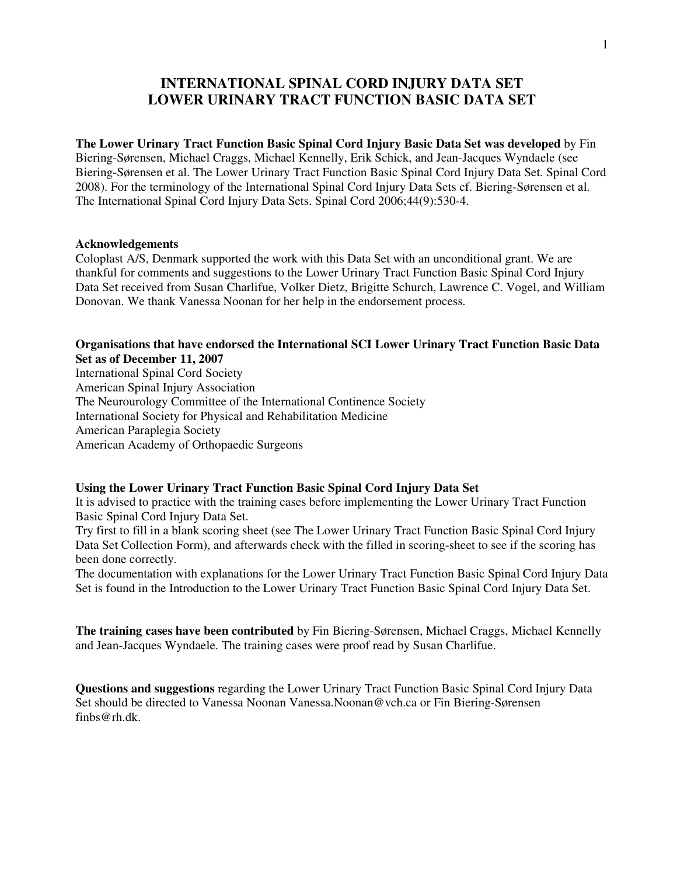# **INTERNATIONAL SPINAL CORD INJURY DATA SET LOWER URINARY TRACT FUNCTION BASIC DATA SET**

**The Lower Urinary Tract Function Basic Spinal Cord Injury Basic Data Set was developed** by Fin Biering-Sørensen, Michael Craggs, Michael Kennelly, Erik Schick, and Jean-Jacques Wyndaele (see Biering-Sørensen et al. The Lower Urinary Tract Function Basic Spinal Cord Injury Data Set. Spinal Cord 2008). For the terminology of the International Spinal Cord Injury Data Sets cf. Biering-Sørensen et al. The International Spinal Cord Injury Data Sets. Spinal Cord 2006;44(9):530-4.

#### **Acknowledgements**

Coloplast A/S, Denmark supported the work with this Data Set with an unconditional grant. We are thankful for comments and suggestions to the Lower Urinary Tract Function Basic Spinal Cord Injury Data Set received from Susan Charlifue, Volker Dietz, Brigitte Schurch, Lawrence C. Vogel, and William Donovan. We thank Vanessa Noonan for her help in the endorsement process.

#### **Organisations that have endorsed the International SCI Lower Urinary Tract Function Basic Data Set as of December 11, 2007**

International Spinal Cord Society American Spinal Injury Association The Neurourology Committee of the International Continence Society International Society for Physical and Rehabilitation Medicine American Paraplegia Society American Academy of Orthopaedic Surgeons

#### **Using the Lower Urinary Tract Function Basic Spinal Cord Injury Data Set**

It is advised to practice with the training cases before implementing the Lower Urinary Tract Function Basic Spinal Cord Injury Data Set.

Try first to fill in a blank scoring sheet (see The Lower Urinary Tract Function Basic Spinal Cord Injury Data Set Collection Form), and afterwards check with the filled in scoring-sheet to see if the scoring has been done correctly.

The documentation with explanations for the Lower Urinary Tract Function Basic Spinal Cord Injury Data Set is found in the Introduction to the Lower Urinary Tract Function Basic Spinal Cord Injury Data Set.

**The training cases have been contributed** by Fin Biering-Sørensen, Michael Craggs, Michael Kennelly and Jean-Jacques Wyndaele. The training cases were proof read by Susan Charlifue.

**Questions and suggestions** regarding the Lower Urinary Tract Function Basic Spinal Cord Injury Data Set should be directed to Vanessa Noonan Vanessa.Noonan@vch.ca or Fin Biering-Sørensen finbs@rh.dk.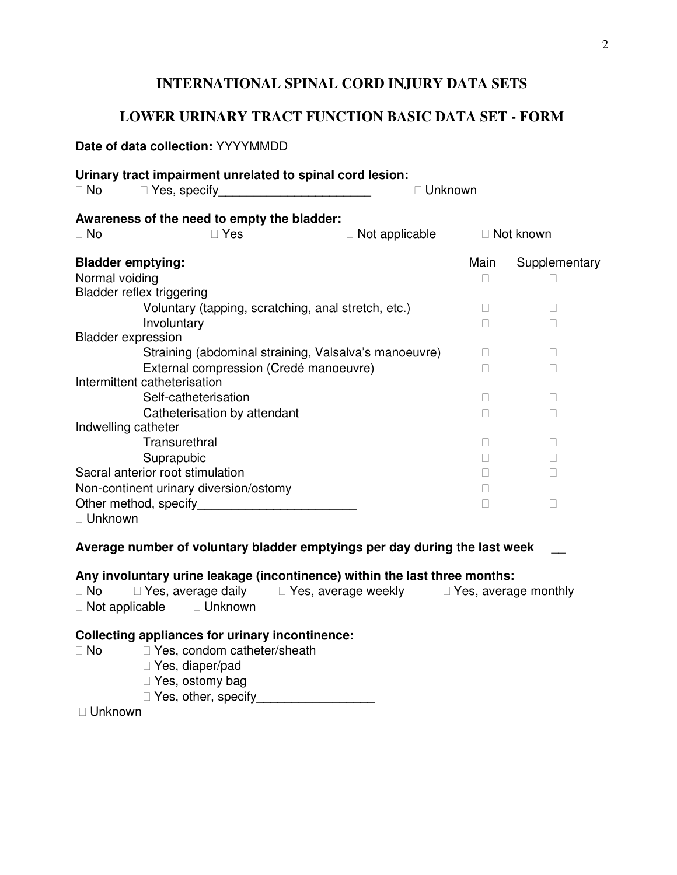## **INTERNATIONAL SPINAL CORD INJURY DATA SETS**

## **LOWER URINARY TRACT FUNCTION BASIC DATA SET - FORM**

# **Date of data collection:** YYYYMMDD **Urinary tract impairment unrelated to spinal cord lesion:**  No Yes, specify Mo Yes, specify All Allen Monton, Mo Unknown **Awareness of the need to empty the bladder:**  No Note Nes Not applicable Not known **Bladder emptying: Bladder emptying: Main** Supplementary Normal voiding Bladder reflex triggering Voluntary (tapping, scratching, anal stretch, etc.) Involuntary Bladder expression Straining (abdominal straining, Valsalva's manoeuvre) External compression (Credé manoeuvre) Intermittent catheterisation Self-catheterisation Catheterisation by attendant Indwelling catheter **Transurethral**  Suprapubic Sacral anterior root stimulation Non-continent urinary diversion/ostomy Other method, specify Unknown

# **Average number of voluntary bladder emptyings per day during the last week** \_\_

### **Any involuntary urine leakage (incontinence) within the last three months:**

| No             | Yes, average daily | Yes, average weekly | Yes, average monthly |
|----------------|--------------------|---------------------|----------------------|
| Not applicable | Unknown            |                     |                      |

#### **Collecting appliances for urinary incontinence:**

 No Yes, condom catheter/sheath Yes, diaper/pad Yes, ostomy bag Yes, other, specify\_\_\_\_\_\_\_\_\_\_\_\_\_\_\_\_\_\_\_\_\_

Unknown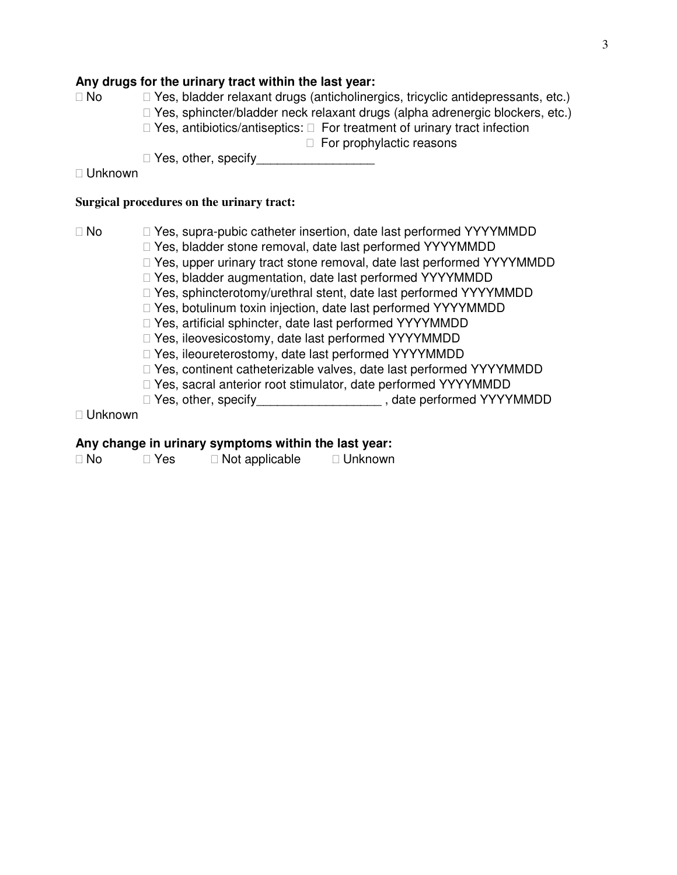#### **Any drugs for the urinary tract within the last year:**

| <b>No</b> | Yes, bladder relaxant drugs (anticholinergics, tricyclic antidepressants, etc.) |                                          |
|-----------|---------------------------------------------------------------------------------|------------------------------------------|
|           | Yes, sphincter/bladder neck relaxant drugs (alpha adrenergic blockers, etc.)    |                                          |
|           | Yes, antibiotics/antiseptics:                                                   | For treatment of urinary tract infection |
|           |                                                                                 | For prophylactic reasons                 |
|           | Yes, other, specify                                                             |                                          |

Unknown

#### **Surgical procedures on the urinary tract:**

 No Yes, supra-pubic catheter insertion, date last performed YYYYMMDD Yes, bladder stone removal, date last performed YYYYMMDD Yes, upper urinary tract stone removal, date last performed YYYYMMDD Yes, bladder augmentation, date last performed YYYYMMDD Yes, sphincterotomy/urethral stent, date last performed YYYYMMDD Yes, botulinum toxin injection, date last performed YYYYMMDD Yes, artificial sphincter, date last performed YYYYMMDD Yes, ileovesicostomy, date last performed YYYYMMDD Yes, ileoureterostomy, date last performed YYYYMMDD Yes, continent catheterizable valves, date last performed YYYYMMDD Yes, sacral anterior root stimulator, date performed YYYYMMDD Yes, other, specify\_\_\_\_\_\_\_\_\_\_\_\_\_\_\_\_\_\_\_\_\_\_\_, date performed YYYYMMDD

Unknown

### **Any change in urinary symptoms within the last year:**

| No | Yes | Not applicable | Unknown |
|----|-----|----------------|---------|
|----|-----|----------------|---------|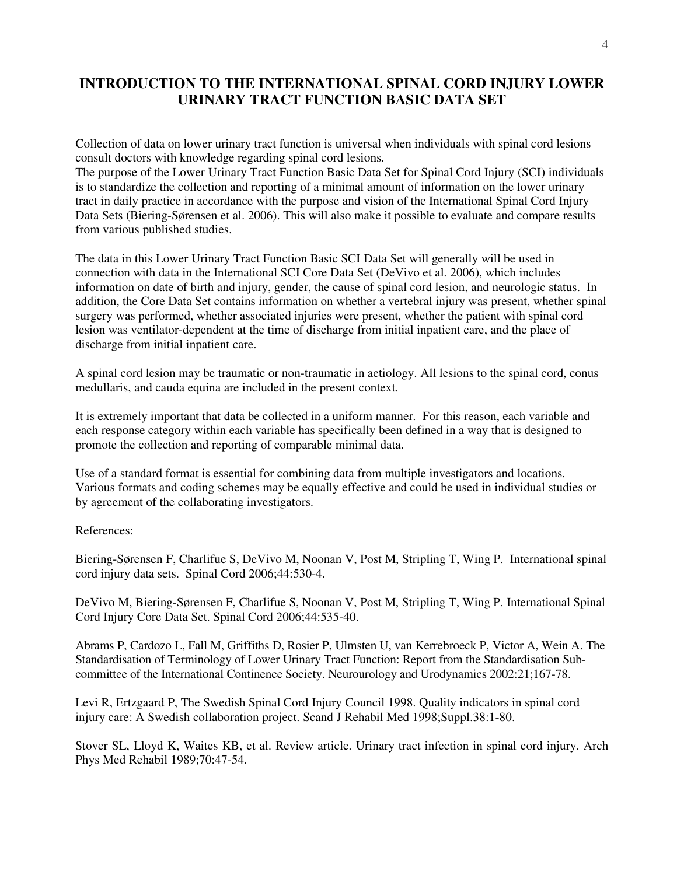# **INTRODUCTION TO THE INTERNATIONAL SPINAL CORD INJURY LOWER URINARY TRACT FUNCTION BASIC DATA SET**

Collection of data on lower urinary tract function is universal when individuals with spinal cord lesions consult doctors with knowledge regarding spinal cord lesions.

The purpose of the Lower Urinary Tract Function Basic Data Set for Spinal Cord Injury (SCI) individuals is to standardize the collection and reporting of a minimal amount of information on the lower urinary tract in daily practice in accordance with the purpose and vision of the International Spinal Cord Injury Data Sets (Biering-Sørensen et al. 2006). This will also make it possible to evaluate and compare results from various published studies.

The data in this Lower Urinary Tract Function Basic SCI Data Set will generally will be used in connection with data in the International SCI Core Data Set (DeVivo et al. 2006), which includes information on date of birth and injury, gender, the cause of spinal cord lesion, and neurologic status. In addition, the Core Data Set contains information on whether a vertebral injury was present, whether spinal surgery was performed, whether associated injuries were present, whether the patient with spinal cord lesion was ventilator-dependent at the time of discharge from initial inpatient care, and the place of discharge from initial inpatient care.

A spinal cord lesion may be traumatic or non-traumatic in aetiology. All lesions to the spinal cord, conus medullaris, and cauda equina are included in the present context.

It is extremely important that data be collected in a uniform manner. For this reason, each variable and each response category within each variable has specifically been defined in a way that is designed to promote the collection and reporting of comparable minimal data.

Use of a standard format is essential for combining data from multiple investigators and locations. Various formats and coding schemes may be equally effective and could be used in individual studies or by agreement of the collaborating investigators.

#### References:

Biering-Sørensen F, Charlifue S, DeVivo M, Noonan V, Post M, Stripling T, Wing P. International spinal cord injury data sets. Spinal Cord 2006;44:530-4.

DeVivo M, Biering-Sørensen F, Charlifue S, Noonan V, Post M, Stripling T, Wing P. International Spinal Cord Injury Core Data Set. Spinal Cord 2006;44:535-40.

Abrams P, Cardozo L, Fall M, Griffiths D, Rosier P, Ulmsten U, van Kerrebroeck P, Victor A, Wein A. The Standardisation of Terminology of Lower Urinary Tract Function: Report from the Standardisation Subcommittee of the International Continence Society. Neurourology and Urodynamics 2002:21;167-78.

Levi R, Ertzgaard P, The Swedish Spinal Cord Injury Council 1998. Quality indicators in spinal cord injury care: A Swedish collaboration project. Scand J Rehabil Med 1998;Suppl.38:1-80.

Stover SL, Lloyd K, Waites KB, et al. Review article. Urinary tract infection in spinal cord injury. Arch Phys Med Rehabil 1989;70:47-54.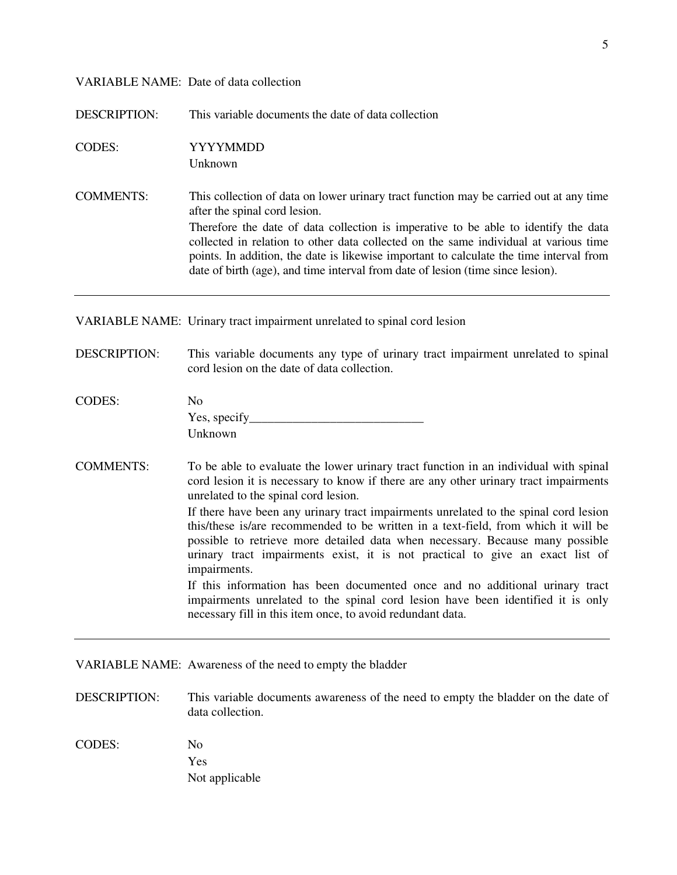#### VARIABLE NAME: Date of data collection

DESCRIPTION: This variable documents the date of data collection

CODES: YYYYMMDD

Unknown

COMMENTS: This collection of data on lower urinary tract function may be carried out at any time after the spinal cord lesion. Therefore the date of data collection is imperative to be able to identify the data collected in relation to other data collected on the same individual at various time points. In addition, the date is likewise important to calculate the time interval from date of birth (age), and time interval from date of lesion (time since lesion).

VARIABLE NAME: Urinary tract impairment unrelated to spinal cord lesion

DESCRIPTION: This variable documents any type of urinary tract impairment unrelated to spinal cord lesion on the date of data collection.

| <b>CODES:</b> | No           |
|---------------|--------------|
|               | Yes, specify |
|               | Unknown      |

COMMENTS: To be able to evaluate the lower urinary tract function in an individual with spinal cord lesion it is necessary to know if there are any other urinary tract impairments unrelated to the spinal cord lesion.

> If there have been any urinary tract impairments unrelated to the spinal cord lesion this/these is/are recommended to be written in a text-field, from which it will be possible to retrieve more detailed data when necessary. Because many possible urinary tract impairments exist, it is not practical to give an exact list of impairments.

> If this information has been documented once and no additional urinary tract impairments unrelated to the spinal cord lesion have been identified it is only necessary fill in this item once, to avoid redundant data.

VARIABLE NAME: Awareness of the need to empty the bladder

- DESCRIPTION: This variable documents awareness of the need to empty the bladder on the date of data collection.
- CODES: No Yes Not applicable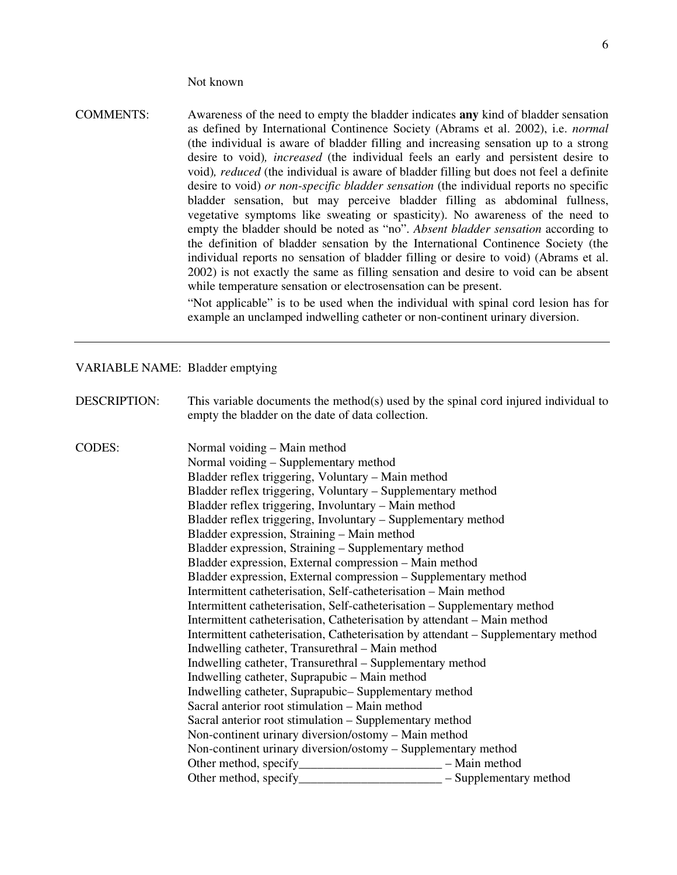Not known

COMMENTS: Awareness of the need to empty the bladder indicates **any** kind of bladder sensation as defined by International Continence Society (Abrams et al. 2002), i.e. *normal*  (the individual is aware of bladder filling and increasing sensation up to a strong desire to void)*, increased* (the individual feels an early and persistent desire to void)*, reduced* (the individual is aware of bladder filling but does not feel a definite desire to void) *or non-specific bladder sensation* (the individual reports no specific bladder sensation, but may perceive bladder filling as abdominal fullness, vegetative symptoms like sweating or spasticity). No awareness of the need to empty the bladder should be noted as "no". *Absent bladder sensation* according to the definition of bladder sensation by the International Continence Society (the individual reports no sensation of bladder filling or desire to void) (Abrams et al. 2002) is not exactly the same as filling sensation and desire to void can be absent while temperature sensation or electrosensation can be present.

> "Not applicable" is to be used when the individual with spinal cord lesion has for example an unclamped indwelling catheter or non-continent urinary diversion.

#### VARIABLE NAME: Bladder emptying

DESCRIPTION: This variable documents the method(s) used by the spinal cord injured individual to empty the bladder on the date of data collection.

CODES: Normal voiding – Main method Normal voiding – Supplementary method Bladder reflex triggering, Voluntary – Main method Bladder reflex triggering, Voluntary – Supplementary method Bladder reflex triggering, Involuntary – Main method Bladder reflex triggering, Involuntary – Supplementary method Bladder expression, Straining – Main method Bladder expression, Straining – Supplementary method Bladder expression, External compression – Main method Bladder expression, External compression – Supplementary method Intermittent catheterisation, Self-catheterisation – Main method Intermittent catheterisation, Self-catheterisation – Supplementary method Intermittent catheterisation, Catheterisation by attendant – Main method Intermittent catheterisation, Catheterisation by attendant – Supplementary method Indwelling catheter, Transurethral – Main method Indwelling catheter, Transurethral – Supplementary method Indwelling catheter, Suprapubic – Main method Indwelling catheter, Suprapubic– Supplementary method Sacral anterior root stimulation – Main method Sacral anterior root stimulation – Supplementary method Non-continent urinary diversion/ostomy – Main method Non-continent urinary diversion/ostomy – Supplementary method Other method, specify\_\_\_\_\_\_\_\_\_\_\_\_\_\_\_\_\_\_\_\_\_\_\_ – Main method Other method, specify\_\_\_\_\_\_\_\_\_\_\_\_\_\_\_\_\_\_\_\_\_\_\_\_\_\_\_\_\_\_\_ – Supplementary method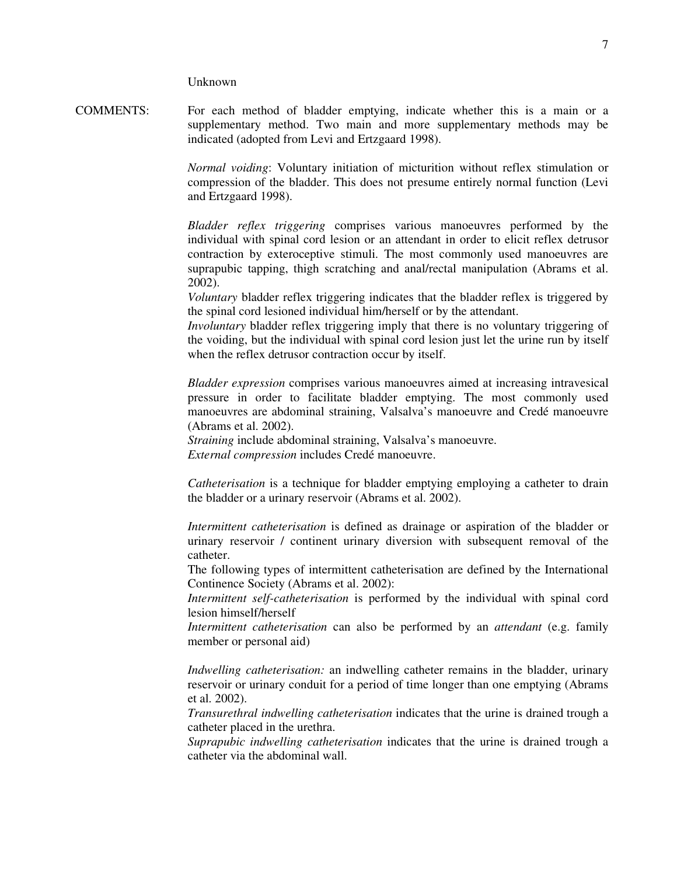Unknown

COMMENTS: For each method of bladder emptying, indicate whether this is a main or a supplementary method. Two main and more supplementary methods may be indicated (adopted from Levi and Ertzgaard 1998).

> *Normal voiding*: Voluntary initiation of micturition without reflex stimulation or compression of the bladder. This does not presume entirely normal function (Levi and Ertzgaard 1998).

> *Bladder reflex triggering* comprises various manoeuvres performed by the individual with spinal cord lesion or an attendant in order to elicit reflex detrusor contraction by exteroceptive stimuli. The most commonly used manoeuvres are suprapubic tapping, thigh scratching and anal/rectal manipulation (Abrams et al. 2002).

> *Voluntary* bladder reflex triggering indicates that the bladder reflex is triggered by the spinal cord lesioned individual him/herself or by the attendant.

> *Involuntary* bladder reflex triggering imply that there is no voluntary triggering of the voiding, but the individual with spinal cord lesion just let the urine run by itself when the reflex detrusor contraction occur by itself.

> *Bladder expression* comprises various manoeuvres aimed at increasing intravesical pressure in order to facilitate bladder emptying. The most commonly used manoeuvres are abdominal straining, Valsalva's manoeuvre and Credé manoeuvre (Abrams et al. 2002).

 *Straining* include abdominal straining, Valsalva's manoeuvre.  *External compression* includes Credé manoeuvre.

 *Catheterisation* is a technique for bladder emptying employing a catheter to drain the bladder or a urinary reservoir (Abrams et al. 2002).

 *Intermittent catheterisation* is defined as drainage or aspiration of the bladder or urinary reservoir / continent urinary diversion with subsequent removal of the catheter.

The following types of intermittent catheterisation are defined by the International Continence Society (Abrams et al. 2002):

*Intermittent self-catheterisation* is performed by the individual with spinal cord lesion himself/herself

 *Intermittent catheterisation* can also be performed by an *attendant* (e.g. family member or personal aid)

*Indwelling catheterisation:* an indwelling catheter remains in the bladder, urinary reservoir or urinary conduit for a period of time longer than one emptying (Abrams et al. 2002).

 *Transurethral indwelling catheterisation* indicates that the urine is drained trough a catheter placed in the urethra.

 *Suprapubic indwelling catheterisation* indicates that the urine is drained trough a catheter via the abdominal wall.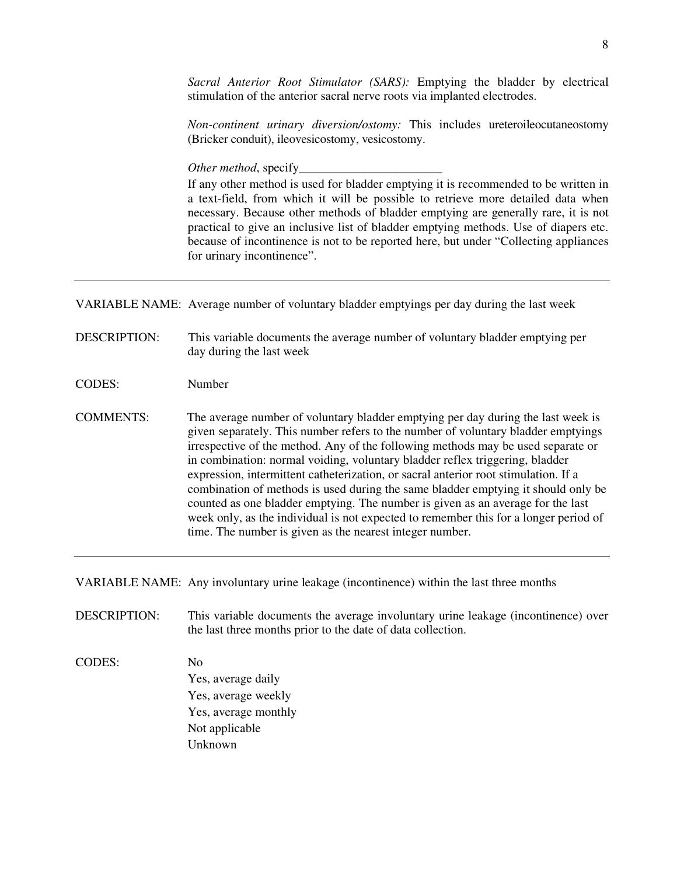*Non-continent urinary diversion/ostomy:* This includes ureteroileocutaneostomy (Bricker conduit), ileovesicostomy, vesicostomy.

*Other method*, specify\_\_\_\_\_\_\_\_\_\_\_\_\_\_\_\_\_\_\_\_\_\_\_

 If any other method is used for bladder emptying it is recommended to be written in a text-field, from which it will be possible to retrieve more detailed data when necessary. Because other methods of bladder emptying are generally rare, it is not practical to give an inclusive list of bladder emptying methods. Use of diapers etc. because of incontinence is not to be reported here, but under "Collecting appliances for urinary incontinence".

VARIABLE NAME: Average number of voluntary bladder emptyings per day during the last week

- DESCRIPTION: This variable documents the average number of voluntary bladder emptying per day during the last week
- CODES: Number
- COMMENTS: The average number of voluntary bladder emptying per day during the last week is given separately. This number refers to the number of voluntary bladder emptyings irrespective of the method. Any of the following methods may be used separate or in combination: normal voiding, voluntary bladder reflex triggering, bladder expression, intermittent catheterization, or sacral anterior root stimulation. If a combination of methods is used during the same bladder emptying it should only be counted as one bladder emptying. The number is given as an average for the last week only, as the individual is not expected to remember this for a longer period of time. The number is given as the nearest integer number.

VARIABLE NAME: Any involuntary urine leakage (incontinence) within the last three months

DESCRIPTION: This variable documents the average involuntary urine leakage (incontinence) over the last three months prior to the date of data collection.

CODES: No Yes, average daily Yes, average weekly Yes, average monthly Not applicable Unknown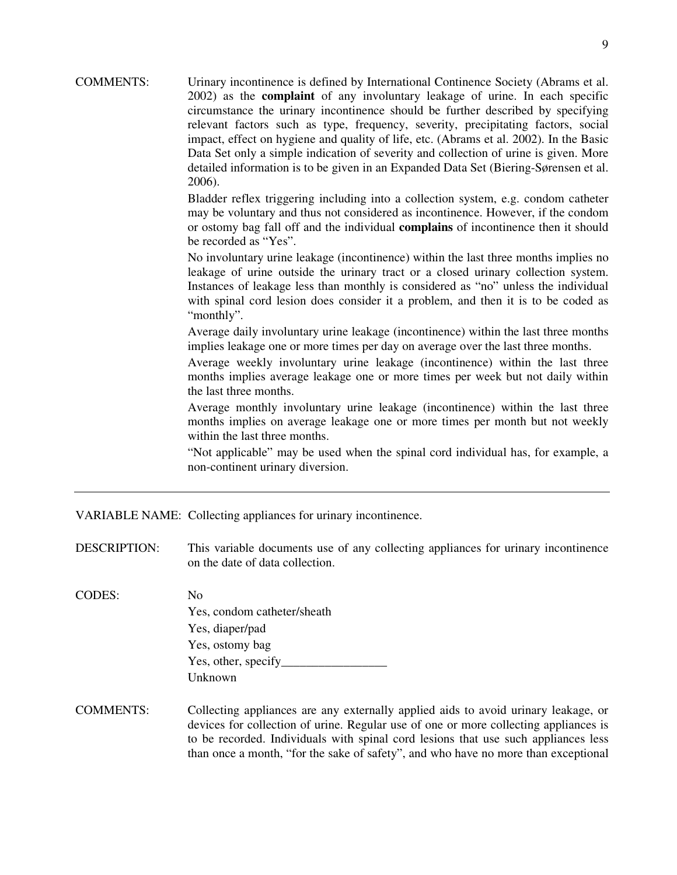COMMENTS: Urinary incontinence is defined by International Continence Society (Abrams et al. 2002) as the **complaint** of any involuntary leakage of urine. In each specific circumstance the urinary incontinence should be further described by specifying relevant factors such as type, frequency, severity, precipitating factors, social impact, effect on hygiene and quality of life, etc. (Abrams et al. 2002). In the Basic Data Set only a simple indication of severity and collection of urine is given. More detailed information is to be given in an Expanded Data Set (Biering-Sørensen et al. 2006).

> Bladder reflex triggering including into a collection system, e.g. condom catheter may be voluntary and thus not considered as incontinence. However, if the condom or ostomy bag fall off and the individual **complains** of incontinence then it should be recorded as "Yes".

> No involuntary urine leakage (incontinence) within the last three months implies no leakage of urine outside the urinary tract or a closed urinary collection system. Instances of leakage less than monthly is considered as "no" unless the individual with spinal cord lesion does consider it a problem, and then it is to be coded as "monthly".

> Average daily involuntary urine leakage (incontinence) within the last three months implies leakage one or more times per day on average over the last three months.

> Average weekly involuntary urine leakage (incontinence) within the last three months implies average leakage one or more times per week but not daily within the last three months.

> Average monthly involuntary urine leakage (incontinence) within the last three months implies on average leakage one or more times per month but not weekly within the last three months.

> "Not applicable" may be used when the spinal cord individual has, for example, a non-continent urinary diversion.

VARIABLE NAME: Collecting appliances for urinary incontinence.

DESCRIPTION: This variable documents use of any collecting appliances for urinary incontinence on the date of data collection.

- CODES: No Yes, condom catheter/sheath Yes, diaper/pad Yes, ostomy bag Yes, other, specify\_ Unknown
- COMMENTS: Collecting appliances are any externally applied aids to avoid urinary leakage, or devices for collection of urine. Regular use of one or more collecting appliances is to be recorded. Individuals with spinal cord lesions that use such appliances less than once a month, "for the sake of safety", and who have no more than exceptional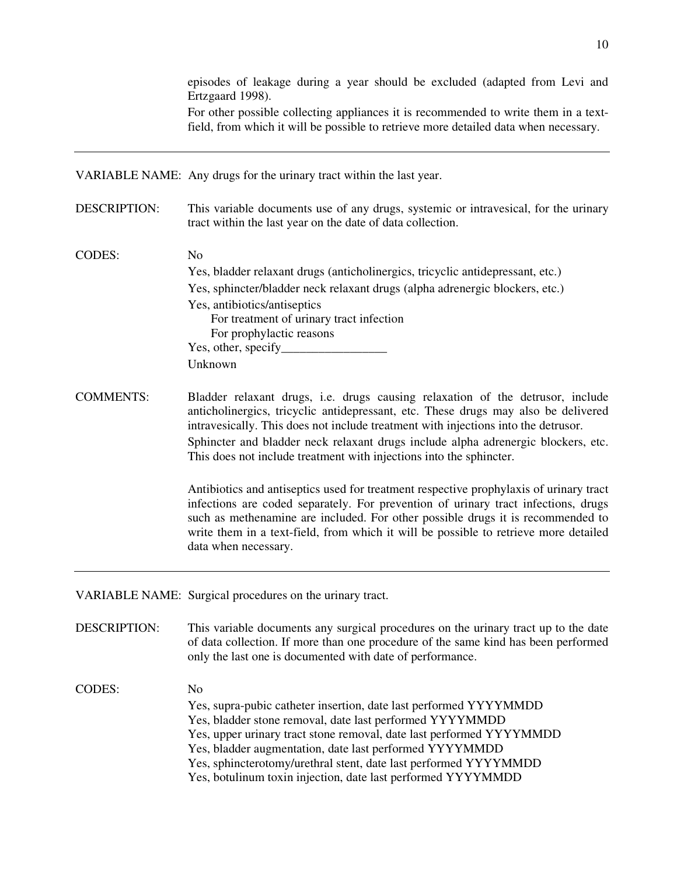episodes of leakage during a year should be excluded (adapted from Levi and Ertzgaard 1998).

 For other possible collecting appliances it is recommended to write them in a textfield, from which it will be possible to retrieve more detailed data when necessary.

VARIABLE NAME: Any drugs for the urinary tract within the last year.

- DESCRIPTION: This variable documents use of any drugs, systemic or intravesical, for the urinary tract within the last year on the date of data collection.
- CODES: No Yes, bladder relaxant drugs (anticholinergics, tricyclic antidepressant, etc.) Yes, sphincter/bladder neck relaxant drugs (alpha adrenergic blockers, etc.) Yes, antibiotics/antiseptics For treatment of urinary tract infection For prophylactic reasons Yes, other, specify Unknown
- COMMENTS: Bladder relaxant drugs, i.e. drugs causing relaxation of the detrusor, include anticholinergics, tricyclic antidepressant, etc. These drugs may also be delivered intravesically. This does not include treatment with injections into the detrusor. Sphincter and bladder neck relaxant drugs include alpha adrenergic blockers, etc. This does not include treatment with injections into the sphincter.

 Antibiotics and antiseptics used for treatment respective prophylaxis of urinary tract infections are coded separately. For prevention of urinary tract infections, drugs such as methenamine are included. For other possible drugs it is recommended to write them in a text-field, from which it will be possible to retrieve more detailed data when necessary.

VARIABLE NAME: Surgical procedures on the urinary tract.

DESCRIPTION: This variable documents any surgical procedures on the urinary tract up to the date of data collection. If more than one procedure of the same kind has been performed only the last one is documented with date of performance.

CODES: No Yes, supra-pubic catheter insertion, date last performed YYYYMMDD Yes, bladder stone removal, date last performed YYYYMMDD Yes, upper urinary tract stone removal, date last performed YYYYMMDD Yes, bladder augmentation, date last performed YYYYMMDD Yes, sphincterotomy/urethral stent, date last performed YYYYMMDD Yes, botulinum toxin injection, date last performed YYYYMMDD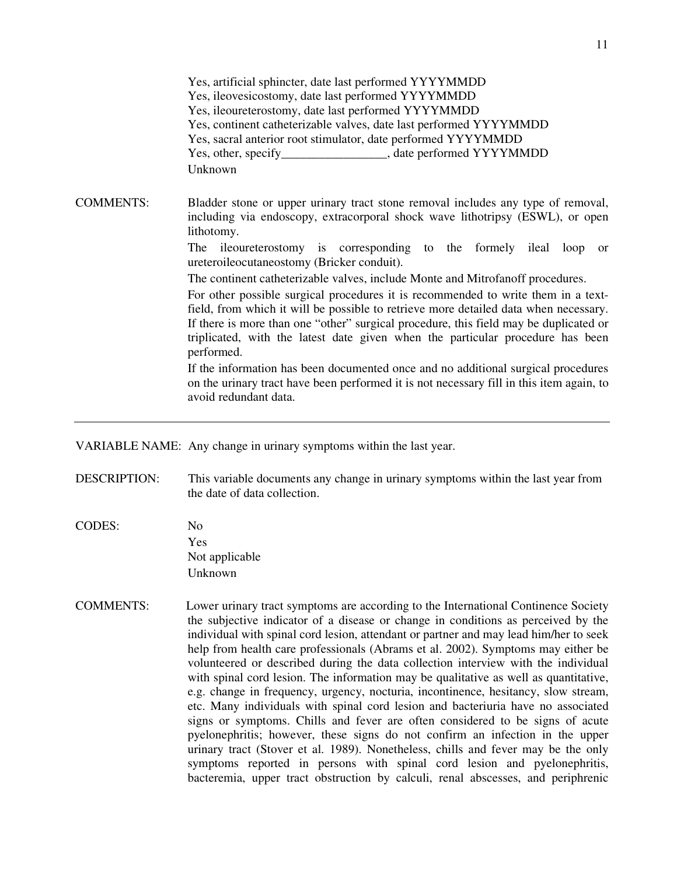Yes, artificial sphincter, date last performed YYYYMMDD Yes, ileovesicostomy, date last performed YYYYMMDD Yes, ileoureterostomy, date last performed YYYYMMDD Yes, continent catheterizable valves, date last performed YYYYMMDD Yes, sacral anterior root stimulator, date performed YYYYMMDD Yes, other, specify entitled values and state performed YYYYMMDD Unknown COMMENTS: Bladder stone or upper urinary tract stone removal includes any type of removal, including via endoscopy, extracorporal shock wave lithotripsy (ESWL), or open lithotomy. The ileoureterostomy is corresponding to the formely ileal loop or ureteroileocutaneostomy (Bricker conduit). The continent catheterizable valves, include Monte and Mitrofanoff procedures. For other possible surgical procedures it is recommended to write them in a textfield, from which it will be possible to retrieve more detailed data when necessary. If there is more than one "other" surgical procedure, this field may be duplicated or triplicated, with the latest date given when the particular procedure has been performed. If the information has been documented once and no additional surgical procedures on the urinary tract have been performed it is not necessary fill in this item again, to avoid redundant data.

VARIABLE NAME: Any change in urinary symptoms within the last year.

- DESCRIPTION: This variable documents any change in urinary symptoms within the last year from the date of data collection.
- CODES: No Yes Not applicable Unknown
- COMMENTS: Lower urinary tract symptoms are according to the International Continence Society the subjective indicator of a disease or change in conditions as perceived by the individual with spinal cord lesion, attendant or partner and may lead him/her to seek help from health care professionals (Abrams et al. 2002). Symptoms may either be volunteered or described during the data collection interview with the individual with spinal cord lesion. The information may be qualitative as well as quantitative, e.g. change in frequency, urgency, nocturia, incontinence, hesitancy, slow stream, etc. Many individuals with spinal cord lesion and bacteriuria have no associated signs or symptoms. Chills and fever are often considered to be signs of acute pyelonephritis; however, these signs do not confirm an infection in the upper urinary tract (Stover et al. 1989). Nonetheless, chills and fever may be the only symptoms reported in persons with spinal cord lesion and pyelonephritis, bacteremia, upper tract obstruction by calculi, renal abscesses, and periphrenic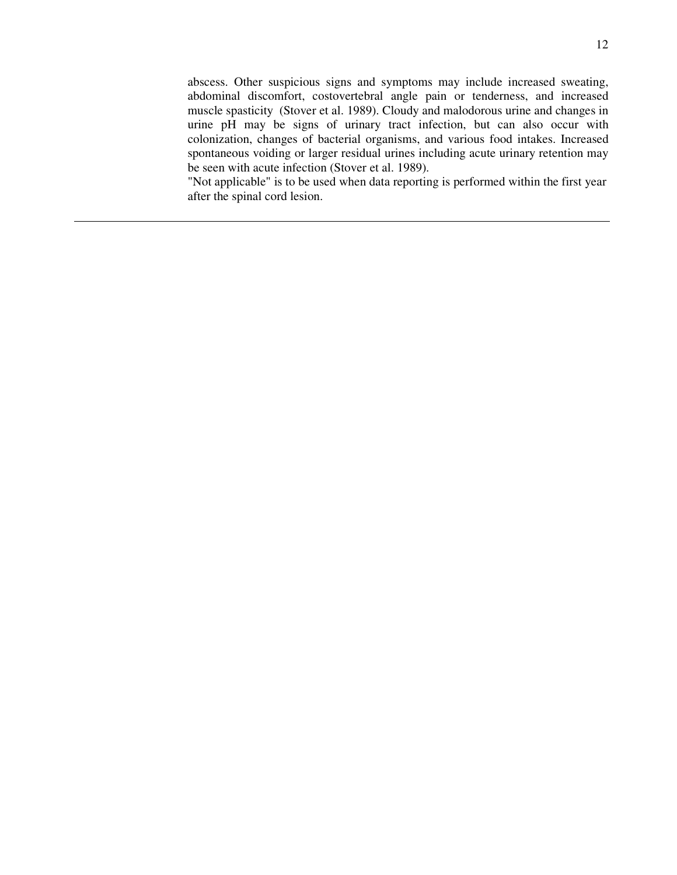abscess. Other suspicious signs and symptoms may include increased sweating, abdominal discomfort, costovertebral angle pain or tenderness, and increased muscle spasticity (Stover et al. 1989). Cloudy and malodorous urine and changes in urine pH may be signs of urinary tract infection, but can also occur with colonization, changes of bacterial organisms, and various food intakes. Increased spontaneous voiding or larger residual urines including acute urinary retention may be seen with acute infection (Stover et al. 1989).

"Not applicable" is to be used when data reporting is performed within the first year after the spinal cord lesion.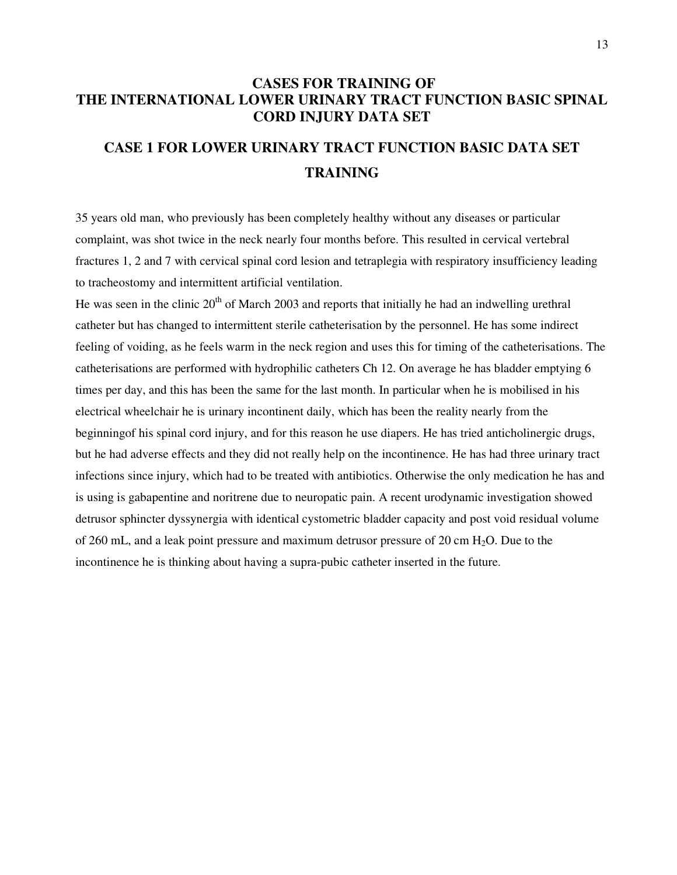# **CASES FOR TRAINING OF THE INTERNATIONAL LOWER URINARY TRACT FUNCTION BASIC SPINAL CORD INJURY DATA SET**

# **CASE 1 FOR LOWER URINARY TRACT FUNCTION BASIC DATA SET TRAINING**

35 years old man, who previously has been completely healthy without any diseases or particular complaint, was shot twice in the neck nearly four months before. This resulted in cervical vertebral fractures 1, 2 and 7 with cervical spinal cord lesion and tetraplegia with respiratory insufficiency leading to tracheostomy and intermittent artificial ventilation.

He was seen in the clinic  $20<sup>th</sup>$  of March 2003 and reports that initially he had an indwelling urethral catheter but has changed to intermittent sterile catheterisation by the personnel. He has some indirect feeling of voiding, as he feels warm in the neck region and uses this for timing of the catheterisations. The catheterisations are performed with hydrophilic catheters Ch 12. On average he has bladder emptying 6 times per day, and this has been the same for the last month. In particular when he is mobilised in his electrical wheelchair he is urinary incontinent daily, which has been the reality nearly from the beginningof his spinal cord injury, and for this reason he use diapers. He has tried anticholinergic drugs, but he had adverse effects and they did not really help on the incontinence. He has had three urinary tract infections since injury, which had to be treated with antibiotics. Otherwise the only medication he has and is using is gabapentine and noritrene due to neuropatic pain. A recent urodynamic investigation showed detrusor sphincter dyssynergia with identical cystometric bladder capacity and post void residual volume of 260 mL, and a leak point pressure and maximum detrusor pressure of 20 cm  $H_2O$ . Due to the incontinence he is thinking about having a supra-pubic catheter inserted in the future.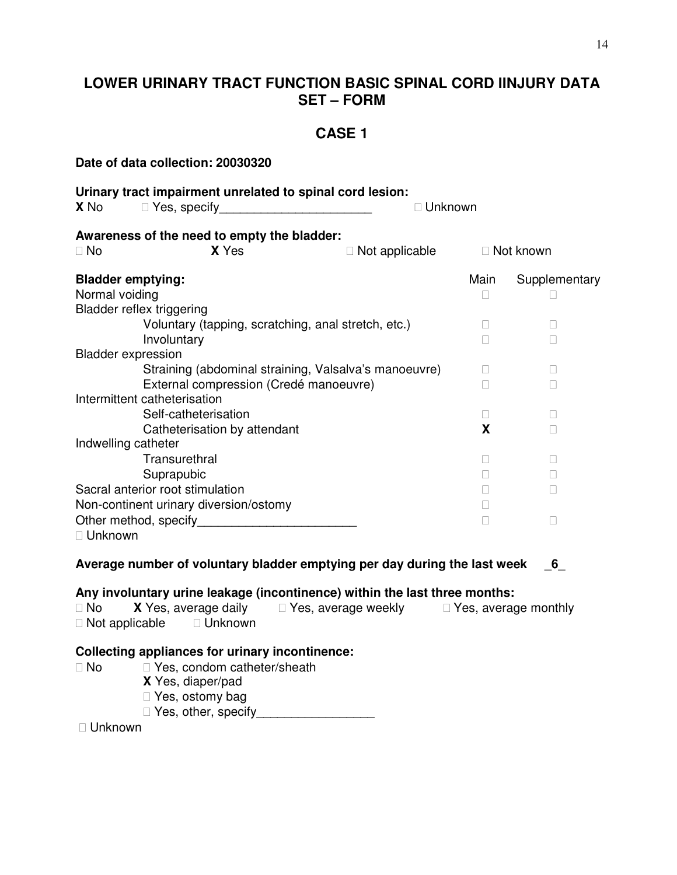# **LOWER URINARY TRACT FUNCTION BASIC SPINAL CORD IINJURY DATA SET – FORM**

## **CASE 1**

**Date of data collection: 20030320 Urinary tract impairment unrelated to spinal cord lesion: X** No Yes, specify **Example 20 Yes**, specify **Awareness of the need to empty the bladder:**  No **X** Yes **Not applicable Not known Bladder emptying: Main Supplementary Main Supplementary** Normal voiding Bladder reflex triggering Voluntary (tapping, scratching, anal stretch, etc.) Involuntary Bladder expression Straining (abdominal straining, Valsalva's manoeuvre) External compression (Credé manoeuvre) Intermittent catheterisation Self-catheterisation Catheterisation by attendant **X** Indwelling catheter **Transurethral**  Suprapubic Sacral anterior root stimulation Non-continent urinary diversion/ostomy Other method, specify\_\_\_\_\_\_\_\_\_\_\_\_\_\_\_\_\_\_\_\_\_\_\_ Unknown **Average number of voluntary bladder emptying per day during the last week** \_**6**\_ **Any involuntary urine leakage (incontinence) within the last three months:**  No **X** Yes, average daily Yes, average weekly Yes, average monthly Not applicable Unknown **Collecting appliances for urinary incontinence:**  No Yes, condom catheter/sheath **X** Yes, diaper/pad Yes, ostomy bag Yes, other, specify Unknown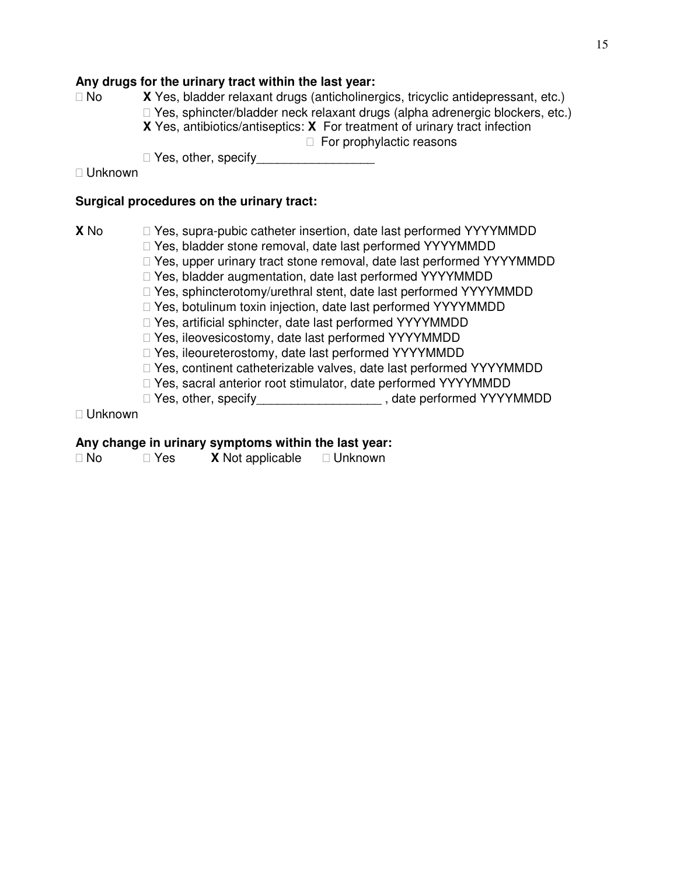### **Any drugs for the urinary tract within the last year:**

 No **X** Yes, bladder relaxant drugs (anticholinergics, tricyclic antidepressant, etc.) Yes, sphincter/bladder neck relaxant drugs (alpha adrenergic blockers, etc.) **X** Yes, antibiotics/antiseptics: **X** For treatment of urinary tract infection For prophylactic reasons

Yes, other, specify\_\_\_\_\_\_\_\_\_\_\_\_\_\_\_\_\_

### Unknown

### **Surgical procedures on the urinary tract:**

**X** No Yes, supra-pubic catheter insertion, date last performed YYYYMMDD Yes, bladder stone removal, date last performed YYYYMMDD Yes, upper urinary tract stone removal, date last performed YYYYMMDD Yes, bladder augmentation, date last performed YYYYMMDD Yes, sphincterotomy/urethral stent, date last performed YYYYMMDD Yes, botulinum toxin injection, date last performed YYYYMMDD Yes, artificial sphincter, date last performed YYYYMMDD Yes, ileovesicostomy, date last performed YYYYMMDD Yes, ileoureterostomy, date last performed YYYYMMDD Yes, continent catheterizable valves, date last performed YYYYMMDD Yes, sacral anterior root stimulator, date performed YYYYMMDD Yes, other, specify\_\_\_\_\_\_\_\_\_\_\_\_\_\_\_\_\_\_\_\_\_\_, date performed YYYYMMDD

### Unknown

### **Any change in urinary symptoms within the last year:**

| No. | Yes | <b>X</b> Not applicable | Unknown |
|-----|-----|-------------------------|---------|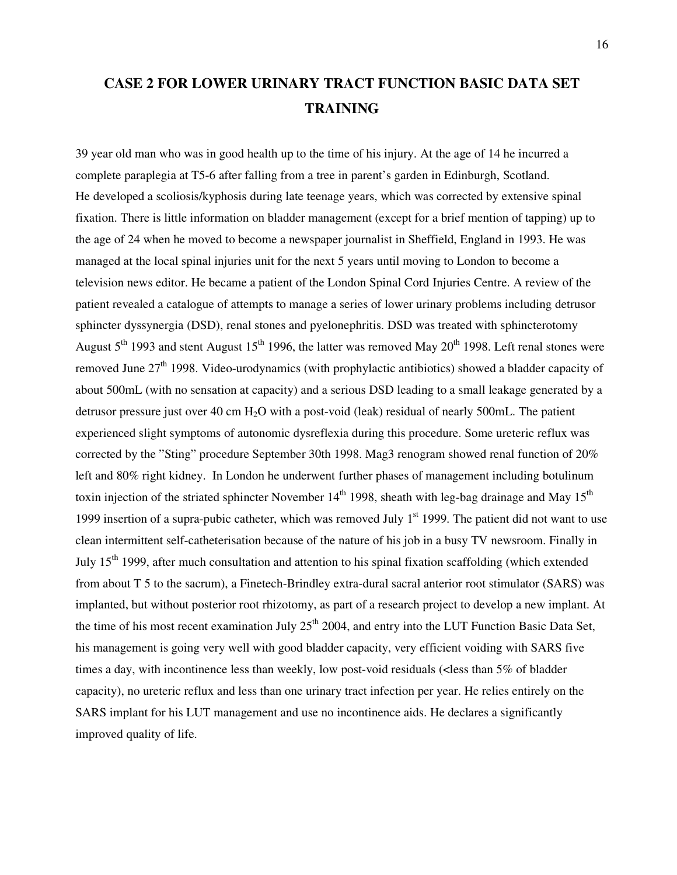# **CASE 2 FOR LOWER URINARY TRACT FUNCTION BASIC DATA SET TRAINING**

39 year old man who was in good health up to the time of his injury. At the age of 14 he incurred a complete paraplegia at T5-6 after falling from a tree in parent's garden in Edinburgh, Scotland. He developed a scoliosis/kyphosis during late teenage years, which was corrected by extensive spinal fixation. There is little information on bladder management (except for a brief mention of tapping) up to the age of 24 when he moved to become a newspaper journalist in Sheffield, England in 1993. He was managed at the local spinal injuries unit for the next 5 years until moving to London to become a television news editor. He became a patient of the London Spinal Cord Injuries Centre. A review of the patient revealed a catalogue of attempts to manage a series of lower urinary problems including detrusor sphincter dyssynergia (DSD), renal stones and pyelonephritis. DSD was treated with sphincterotomy August  $5<sup>th</sup>$  1993 and stent August 15<sup>th</sup> 1996, the latter was removed May 20<sup>th</sup> 1998. Left renal stones were removed June 27<sup>th</sup> 1998. Video-urodynamics (with prophylactic antibiotics) showed a bladder capacity of about 500mL (with no sensation at capacity) and a serious DSD leading to a small leakage generated by a detrusor pressure just over 40 cm H2O with a post-void (leak) residual of nearly 500mL. The patient experienced slight symptoms of autonomic dysreflexia during this procedure. Some ureteric reflux was corrected by the "Sting" procedure September 30th 1998. Mag3 renogram showed renal function of 20% left and 80% right kidney. In London he underwent further phases of management including botulinum toxin injection of the striated sphincter November  $14<sup>th</sup>$  1998, sheath with leg-bag drainage and May  $15<sup>th</sup>$ 1999 insertion of a supra-pubic catheter, which was removed July  $1<sup>st</sup>$  1999. The patient did not want to use clean intermittent self-catheterisation because of the nature of his job in a busy TV newsroom. Finally in July  $15<sup>th</sup>$  1999, after much consultation and attention to his spinal fixation scaffolding (which extended from about T 5 to the sacrum), a Finetech-Brindley extra-dural sacral anterior root stimulator (SARS) was implanted, but without posterior root rhizotomy, as part of a research project to develop a new implant. At the time of his most recent examination July  $25<sup>th</sup>$  2004, and entry into the LUT Function Basic Data Set, his management is going very well with good bladder capacity, very efficient voiding with SARS five times a day, with incontinence less than weekly, low post-void residuals (<less than 5% of bladder capacity), no ureteric reflux and less than one urinary tract infection per year. He relies entirely on the SARS implant for his LUT management and use no incontinence aids. He declares a significantly improved quality of life.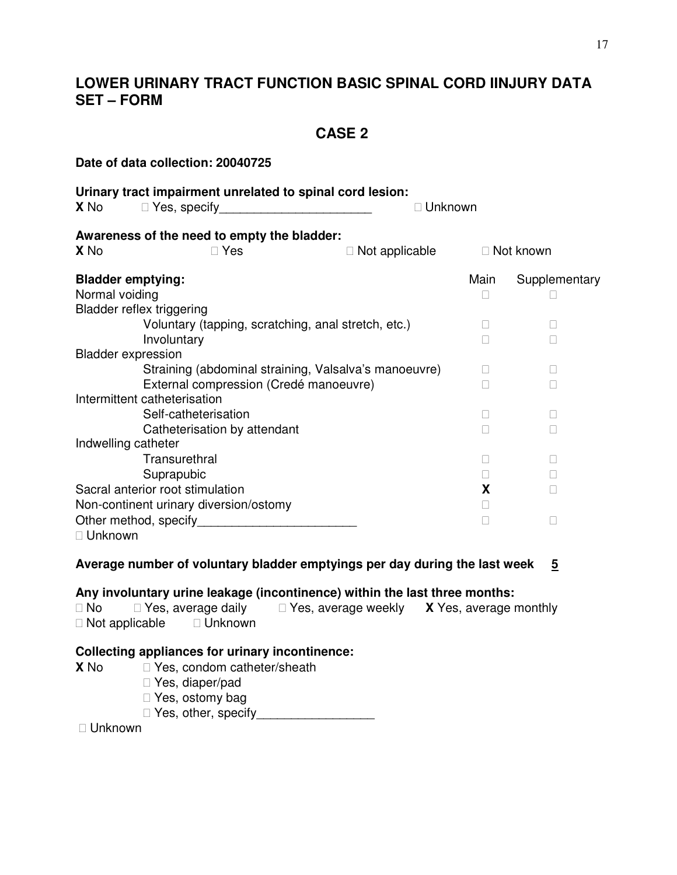# **LOWER URINARY TRACT FUNCTION BASIC SPINAL CORD IINJURY DATA SET – FORM**

# **CASE 2**

|                                                                                | Date of data collection: 20040725                                                                                                                                                                                                                                                                                                                                           |                                            |                |         |               |  |
|--------------------------------------------------------------------------------|-----------------------------------------------------------------------------------------------------------------------------------------------------------------------------------------------------------------------------------------------------------------------------------------------------------------------------------------------------------------------------|--------------------------------------------|----------------|---------|---------------|--|
| X No                                                                           | Urinary tract impairment unrelated to spinal cord lesion:<br>Yes, specify <b>Example 2014</b>                                                                                                                                                                                                                                                                               |                                            |                | Unknown |               |  |
| X <sub>No</sub>                                                                | Awareness of the need to empty the bladder:<br>Yes                                                                                                                                                                                                                                                                                                                          |                                            |                |         | Not known     |  |
|                                                                                |                                                                                                                                                                                                                                                                                                                                                                             |                                            | Not applicable |         |               |  |
| <b>Bladder emptying:</b><br>Normal voiding<br><b>Bladder reflex triggering</b> | Voluntary (tapping, scratching, anal stretch, etc.)<br>Involuntary                                                                                                                                                                                                                                                                                                          |                                            |                | Main    | Supplementary |  |
| <b>Bladder expression</b>                                                      | Straining (abdominal straining, Valsalva's manoeuvre)<br>External compression (Credé manoeuvre)<br>Intermittent catheterisation<br>Self-catheterisation                                                                                                                                                                                                                     |                                            |                |         |               |  |
| Indwelling catheter<br>Unknown                                                 | Catheterisation by attendant<br>Transurethral<br>Suprapubic<br>Sacral anterior root stimulation<br>Non-continent urinary diversion/ostomy<br>Other method, specify example and the control of the control of the control of the control of the control of the control of the control of the control of the control of the control of the control of the control of the cont |                                            |                |         | X             |  |
|                                                                                | Average number of voluntary bladder emptyings per day during the last week                                                                                                                                                                                                                                                                                                  |                                            |                |         | 5             |  |
| <b>No</b><br>Not applicable                                                    | Any involuntary urine leakage (incontinence) within the last three months:<br>Yes, average daily<br>Unknown                                                                                                                                                                                                                                                                 | Yes, average weekly X Yes, average monthly |                |         |               |  |
| X No<br>Unknown                                                                | <b>Collecting appliances for urinary incontinence:</b><br>Yes, condom catheter/sheath<br>Yes, diaper/pad<br>Yes, ostomy bag<br>Yes, other, specify <b>Section Section Section Section Section Section Section Section Section Section Section Section Section Section Section Section Section Section Section Section S</b>                                                 |                                            |                |         |               |  |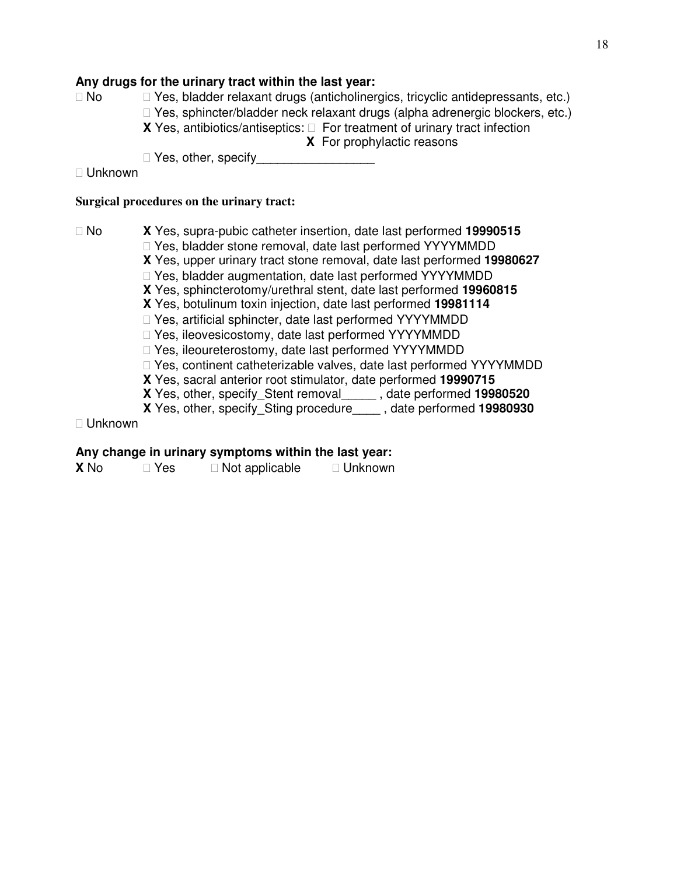### **Any drugs for the urinary tract within the last year:**

 No Yes, bladder relaxant drugs (anticholinergics, tricyclic antidepressants, etc.) Yes, sphincter/bladder neck relaxant drugs (alpha adrenergic blockers, etc.) **X** Yes, antibiotics/antiseptics: For treatment of urinary tract infection **X** For prophylactic reasons

Yes, other, specify

Unknown

### **Surgical procedures on the urinary tract:**

 No **X** Yes, supra-pubic catheter insertion, date last performed **19990515** Yes, bladder stone removal, date last performed YYYYMMDD

- **X** Yes, upper urinary tract stone removal, date last performed **19980627** Yes, bladder augmentation, date last performed YYYYMMDD
- **X** Yes, sphincterotomy/urethral stent, date last performed **19960815**
- **X** Yes, botulinum toxin injection, date last performed **19981114**
	- Yes, artificial sphincter, date last performed YYYYMMDD
	- Yes, ileovesicostomy, date last performed YYYYMMDD
	- Yes, ileoureterostomy, date last performed YYYYMMDD
- Yes, continent catheterizable valves, date last performed YYYYMMDD
- **X** Yes, sacral anterior root stimulator, date performed **19990715**
- **X** Yes, other, specify\_Stent removal\_\_\_\_\_ , date performed **19980520**
- **X** Yes, other, specify\_Sting procedure\_\_\_\_ , date performed **19980930**

Unknown

### **Any change in urinary symptoms within the last year:**

| <b>X</b> No | Yes | Not applicable | Unknown |
|-------------|-----|----------------|---------|
|             |     |                |         |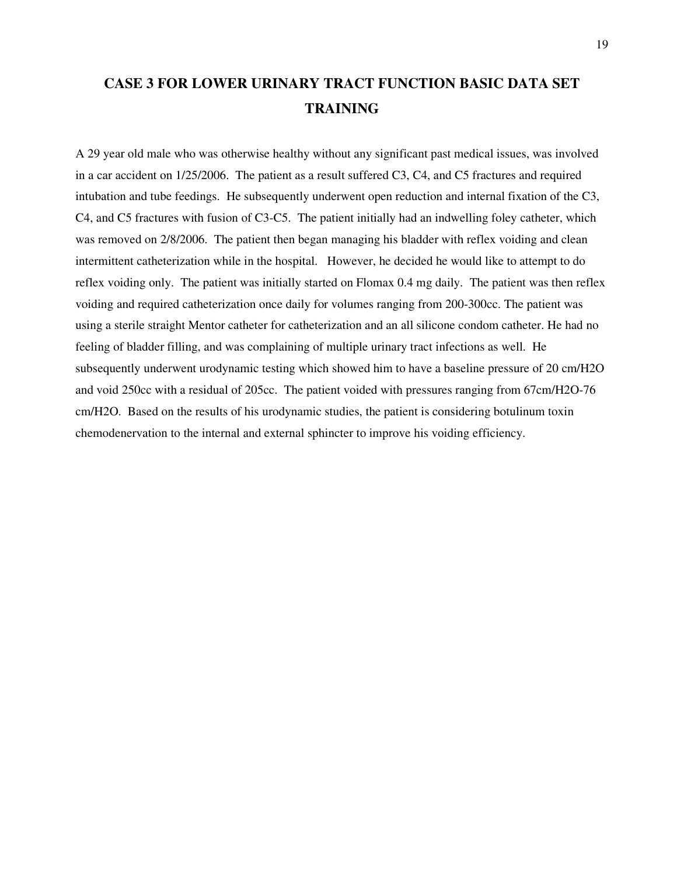# **CASE 3 FOR LOWER URINARY TRACT FUNCTION BASIC DATA SET TRAINING**

A 29 year old male who was otherwise healthy without any significant past medical issues, was involved in a car accident on 1/25/2006. The patient as a result suffered C3, C4, and C5 fractures and required intubation and tube feedings. He subsequently underwent open reduction and internal fixation of the C3, C4, and C5 fractures with fusion of C3-C5. The patient initially had an indwelling foley catheter, which was removed on 2/8/2006. The patient then began managing his bladder with reflex voiding and clean intermittent catheterization while in the hospital. However, he decided he would like to attempt to do reflex voiding only. The patient was initially started on Flomax 0.4 mg daily. The patient was then reflex voiding and required catheterization once daily for volumes ranging from 200-300cc. The patient was using a sterile straight Mentor catheter for catheterization and an all silicone condom catheter. He had no feeling of bladder filling, and was complaining of multiple urinary tract infections as well. He subsequently underwent urodynamic testing which showed him to have a baseline pressure of 20 cm/H2O and void 250cc with a residual of 205cc. The patient voided with pressures ranging from 67cm/H2O-76 cm/H2O. Based on the results of his urodynamic studies, the patient is considering botulinum toxin chemodenervation to the internal and external sphincter to improve his voiding efficiency.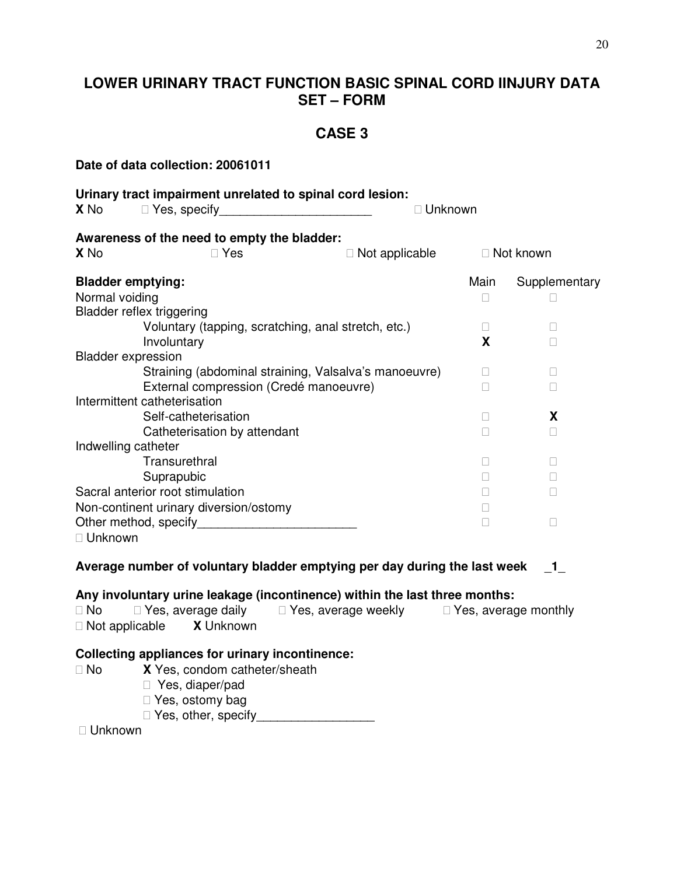# **LOWER URINARY TRACT FUNCTION BASIC SPINAL CORD IINJURY DATA SET – FORM**

# **CASE 3**

| Date of data collection: 20061011                                                                                                                                                                                              |                                                                                                                 |                                          |         |                |
|--------------------------------------------------------------------------------------------------------------------------------------------------------------------------------------------------------------------------------|-----------------------------------------------------------------------------------------------------------------|------------------------------------------|---------|----------------|
| Urinary tract impairment unrelated to spinal cord lesion:<br><b>X</b> No                                                                                                                                                       | Yes, specify                                                                                                    |                                          | Unknown |                |
| Awareness of the need to empty the bladder:<br>X <sub>No</sub>                                                                                                                                                                 | Yes                                                                                                             | Not applicable                           |         | Not known      |
|                                                                                                                                                                                                                                |                                                                                                                 |                                          |         |                |
| <b>Bladder emptying:</b><br>Normal voiding<br>Bladder reflex triggering                                                                                                                                                        |                                                                                                                 |                                          | Main    | Supplementary  |
|                                                                                                                                                                                                                                | Voluntary (tapping, scratching, anal stretch, etc.)                                                             |                                          |         |                |
| Involuntary                                                                                                                                                                                                                    |                                                                                                                 |                                          | X       |                |
| <b>Bladder expression</b><br>Intermittent catheterisation                                                                                                                                                                      | Straining (abdominal straining, Valsalva's manoeuvre)<br>External compression (Credé manoeuvre)                 |                                          |         |                |
|                                                                                                                                                                                                                                | Self-catheterisation                                                                                            |                                          |         | X              |
|                                                                                                                                                                                                                                | Catheterisation by attendant                                                                                    |                                          |         |                |
| Indwelling catheter                                                                                                                                                                                                            |                                                                                                                 |                                          |         |                |
|                                                                                                                                                                                                                                | Transurethral                                                                                                   |                                          |         |                |
| Suprapubic                                                                                                                                                                                                                     |                                                                                                                 |                                          |         |                |
| Sacral anterior root stimulation                                                                                                                                                                                               |                                                                                                                 |                                          |         |                |
| Non-continent urinary diversion/ostomy                                                                                                                                                                                         |                                                                                                                 |                                          |         |                |
| Other method, specify example and the control of the control of the control of the control of the control of the control of the control of the control of the control of the control of the control of the control of the cont |                                                                                                                 |                                          |         |                |
| Unknown                                                                                                                                                                                                                        |                                                                                                                 |                                          |         |                |
| Average number of voluntary bladder emptying per day during the last week                                                                                                                                                      |                                                                                                                 |                                          |         | $\blacksquare$ |
| Any involuntary urine leakage (incontinence) within the last three months:                                                                                                                                                     |                                                                                                                 |                                          |         |                |
| No<br>Not applicable                                                                                                                                                                                                           | Yes, average daily<br><b>X</b> Unknown                                                                          | Yes, average weekly Yes, average monthly |         |                |
| <b>Collecting appliances for urinary incontinence:</b><br><b>No</b><br>Unknown                                                                                                                                                 | X Yes, condom catheter/sheath<br>Yes, diaper/pad<br>Yes, ostomy bag<br>Yes, other, specify_____________________ |                                          |         |                |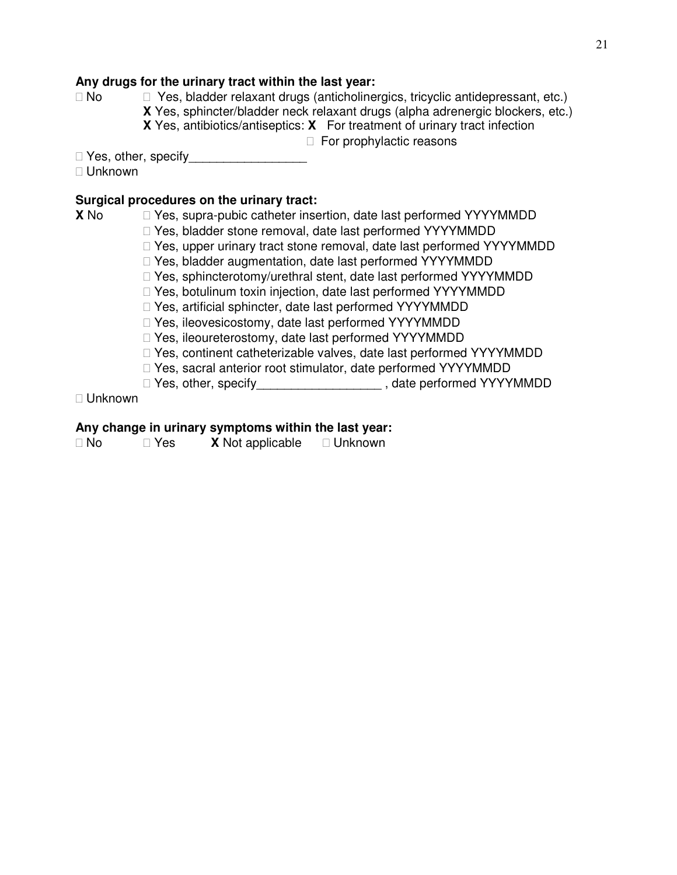## **Any drugs for the urinary tract within the last year:**

 No Yes, bladder relaxant drugs (anticholinergics, tricyclic antidepressant, etc.) **X** Yes, sphincter/bladder neck relaxant drugs (alpha adrenergic blockers, etc.) **X** Yes, antibiotics/antiseptics: **X** For treatment of urinary tract infection

For prophylactic reasons

 Yes, other, specify\_\_\_\_\_\_\_\_\_\_\_\_\_\_\_\_\_ Unknown

### **Surgical procedures on the urinary tract:**

|         | Surgical procedures on the urinary tract:                          |                                                                      |  |  |
|---------|--------------------------------------------------------------------|----------------------------------------------------------------------|--|--|
| X No    | Yes, supra-pubic catheter insertion, date last performed YYYYMMDD  |                                                                      |  |  |
|         | Yes, bladder stone removal, date last performed YYYYMMDD           |                                                                      |  |  |
|         |                                                                    | Yes, upper urinary tract stone removal, date last performed YYYYMMDD |  |  |
|         | Yes, bladder augmentation, date last performed YYYYMMDD            |                                                                      |  |  |
|         | Yes, sphincterotomy/urethral stent, date last performed YYYYMMDD   |                                                                      |  |  |
|         | Yes, botulinum toxin injection, date last performed YYYYMMDD       |                                                                      |  |  |
|         | Yes, artificial sphincter, date last performed YYYYMMDD            |                                                                      |  |  |
|         | Yes, ileovesicostomy, date last performed YYYYMMDD                 |                                                                      |  |  |
|         | Yes, ileoureterostomy, date last performed YYYYMMDD                |                                                                      |  |  |
|         | Yes, continent catheterizable valves, date last performed YYYYMMDD |                                                                      |  |  |
|         | Yes, sacral anterior root stimulator, date performed YYYYMMDD      |                                                                      |  |  |
|         | Yes, other, specify                                                | , date performed YYYYMMDD                                            |  |  |
| Unknown |                                                                    |                                                                      |  |  |

### **Any change in urinary symptoms within the last year:**

| No | Yes | <b>X</b> Not applicable | Unknown |
|----|-----|-------------------------|---------|
|    |     |                         |         |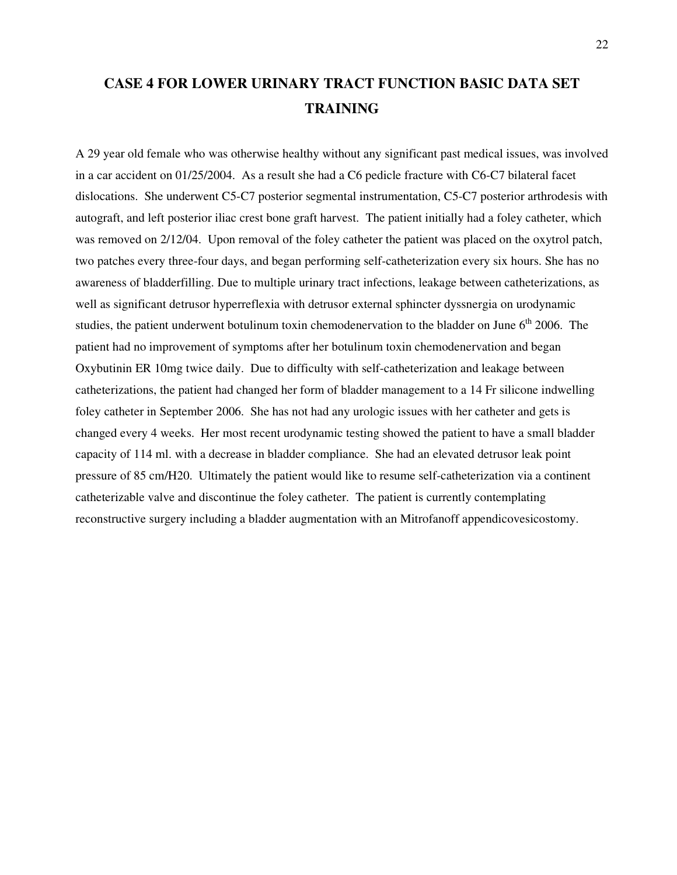# **CASE 4 FOR LOWER URINARY TRACT FUNCTION BASIC DATA SET TRAINING**

A 29 year old female who was otherwise healthy without any significant past medical issues, was involved in a car accident on 01/25/2004. As a result she had a C6 pedicle fracture with C6-C7 bilateral facet dislocations. She underwent C5-C7 posterior segmental instrumentation, C5-C7 posterior arthrodesis with autograft, and left posterior iliac crest bone graft harvest. The patient initially had a foley catheter, which was removed on 2/12/04. Upon removal of the foley catheter the patient was placed on the oxytrol patch, two patches every three-four days, and began performing self-catheterization every six hours. She has no awareness of bladderfilling. Due to multiple urinary tract infections, leakage between catheterizations, as well as significant detrusor hyperreflexia with detrusor external sphincter dyssnergia on urodynamic studies, the patient underwent botulinum toxin chemodenervation to the bladder on June  $6<sup>th</sup>$  2006. The patient had no improvement of symptoms after her botulinum toxin chemodenervation and began Oxybutinin ER 10mg twice daily. Due to difficulty with self-catheterization and leakage between catheterizations, the patient had changed her form of bladder management to a 14 Fr silicone indwelling foley catheter in September 2006. She has not had any urologic issues with her catheter and gets is changed every 4 weeks. Her most recent urodynamic testing showed the patient to have a small bladder capacity of 114 ml. with a decrease in bladder compliance. She had an elevated detrusor leak point pressure of 85 cm/H20. Ultimately the patient would like to resume self-catheterization via a continent catheterizable valve and discontinue the foley catheter. The patient is currently contemplating reconstructive surgery including a bladder augmentation with an Mitrofanoff appendicovesicostomy.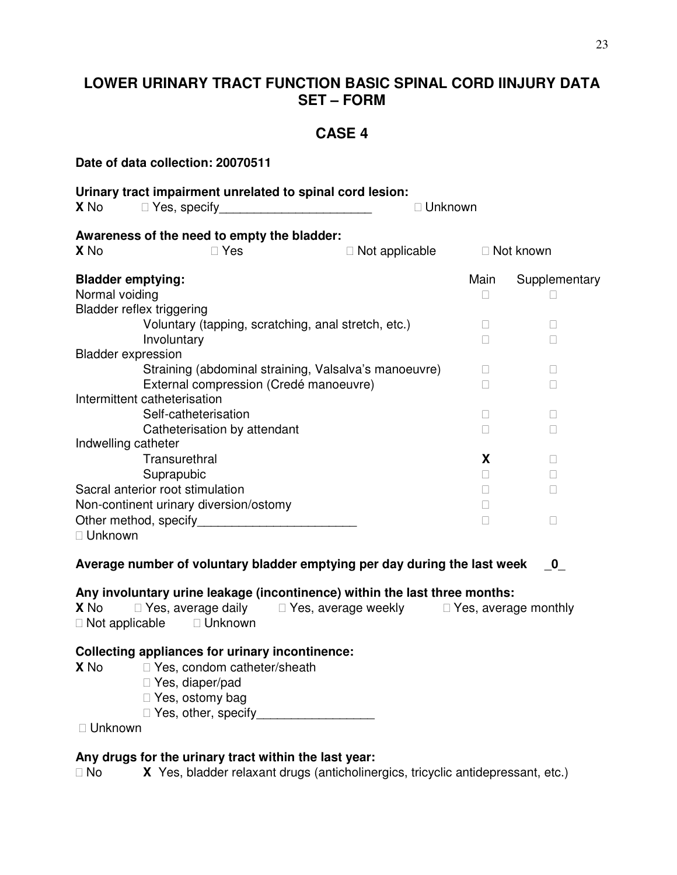# **LOWER URINARY TRACT FUNCTION BASIC SPINAL CORD IINJURY DATA SET – FORM**

## **CASE 4**

**Date of data collection: 20070511 Urinary tract impairment unrelated to spinal cord lesion: X** No Yes, specify **Example 20 You allocate View Yes**, specify **Awareness of the need to empty the bladder: X** No **X** Not applicable **Not known Bladder emptying: Main Supplementary Main Supplementary** Normal voiding Bladder reflex triggering Voluntary (tapping, scratching, anal stretch, etc.) Involuntary Bladder expression Straining (abdominal straining, Valsalva's manoeuvre) External compression (Credé manoeuvre) Intermittent catheterisation Self-catheterisation Catheterisation by attendant Indwelling catheter Transurethral **X** Suprapubic Sacral anterior root stimulation Non-continent urinary diversion/ostomy Other method, specify\_\_\_\_\_\_\_\_\_\_\_\_\_\_\_\_\_\_\_\_\_\_\_ Unknown **Average number of voluntary bladder emptying per day during the last week** \_**0**\_ **Any involuntary urine leakage (incontinence) within the last three months: X** No Yes, average daily Yes, average weekly Yes, average monthly Not applicable Unknown **Collecting appliances for urinary incontinence: X** No Yes, condom catheter/sheath Yes, diaper/pad Yes, ostomy bag Yes, other, specify Unknown

### **Any drugs for the urinary tract within the last year:**

No **X** Yes, bladder relaxant drugs (anticholinergics, tricyclic antidepressant, etc.)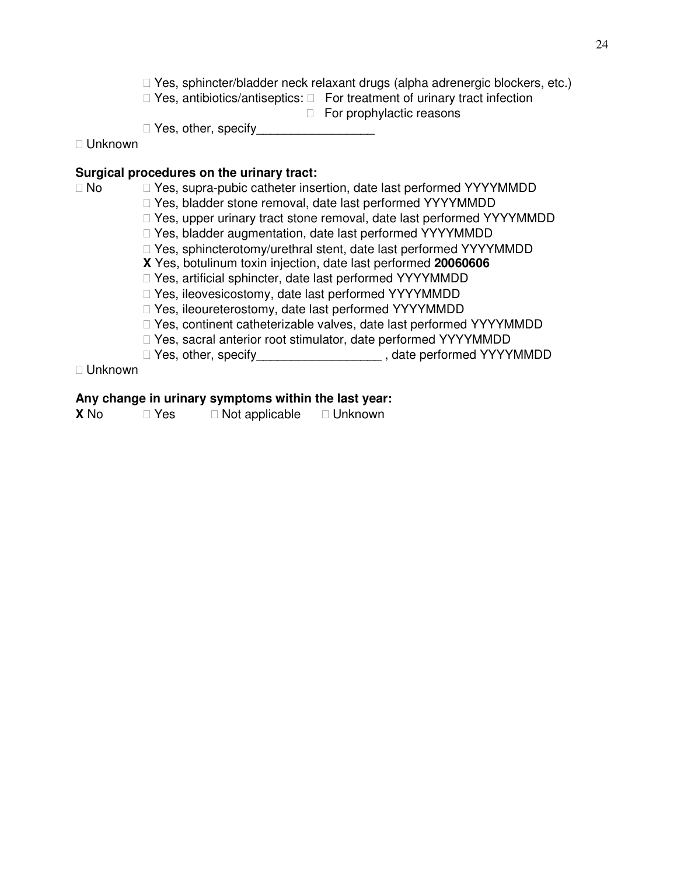Yes, sphincter/bladder neck relaxant drugs (alpha adrenergic blockers, etc.) Yes, antibiotics/antiseptics: For treatment of urinary tract infection For prophylactic reasons

Yes, other, specify

Unknown

### **Surgical procedures on the urinary tract:**

| × | . .<br>I |
|---|----------|
|---|----------|

No Yes, supra-pubic catheter insertion, date last performed YYYYMMDD

Yes, bladder stone removal, date last performed YYYYMMDD

Yes, upper urinary tract stone removal, date last performed YYYYMMDD

Yes, bladder augmentation, date last performed YYYYMMDD

Yes, sphincterotomy/urethral stent, date last performed YYYYMMDD

**X** Yes, botulinum toxin injection, date last performed **20060606**

Yes, artificial sphincter, date last performed YYYYMMDD

Yes, ileovesicostomy, date last performed YYYYMMDD

Yes, ileoureterostomy, date last performed YYYYMMDD

Yes, continent catheterizable valves, date last performed YYYYMMDD

Yes, sacral anterior root stimulator, date performed YYYYMMDD

Yes, other, specify<br>
Yes, other, specify<br>
Yes, other, specify

Unknown

### **Any change in urinary symptoms within the last year:**

**X** No **Yes** Not applicable Unknown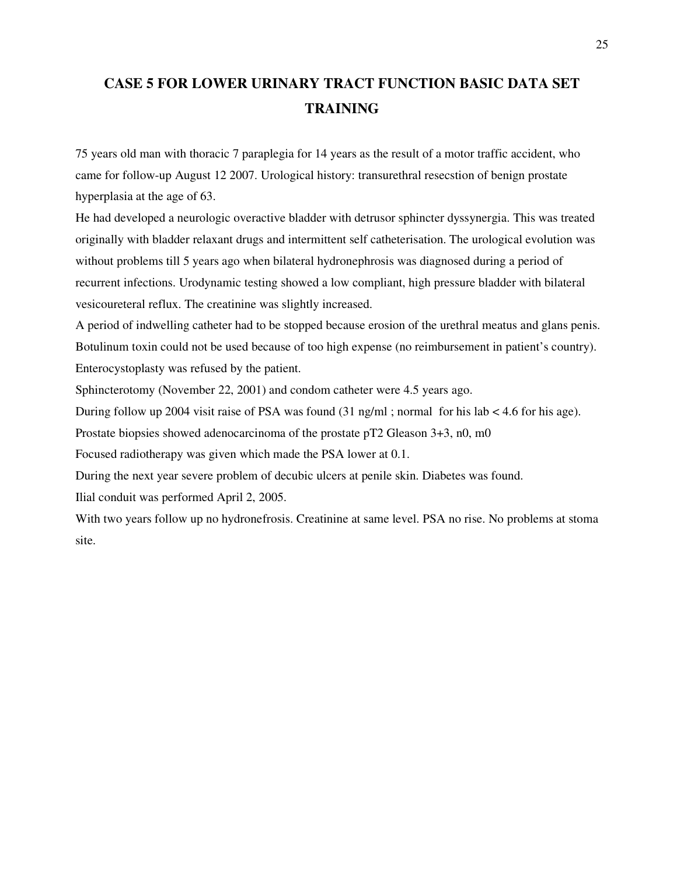# **CASE 5 FOR LOWER URINARY TRACT FUNCTION BASIC DATA SET TRAINING**

75 years old man with thoracic 7 paraplegia for 14 years as the result of a motor traffic accident, who came for follow-up August 12 2007. Urological history: transurethral resecstion of benign prostate hyperplasia at the age of 63.

He had developed a neurologic overactive bladder with detrusor sphincter dyssynergia. This was treated originally with bladder relaxant drugs and intermittent self catheterisation. The urological evolution was without problems till 5 years ago when bilateral hydronephrosis was diagnosed during a period of recurrent infections. Urodynamic testing showed a low compliant, high pressure bladder with bilateral vesicoureteral reflux. The creatinine was slightly increased.

A period of indwelling catheter had to be stopped because erosion of the urethral meatus and glans penis. Botulinum toxin could not be used because of too high expense (no reimbursement in patient's country). Enterocystoplasty was refused by the patient.

Sphincterotomy (November 22, 2001) and condom catheter were 4.5 years ago.

During follow up 2004 visit raise of PSA was found (31 ng/ml ; normal for his lab < 4.6 for his age).

Prostate biopsies showed adenocarcinoma of the prostate pT2 Gleason 3+3, n0, m0

Focused radiotherapy was given which made the PSA lower at 0.1.

During the next year severe problem of decubic ulcers at penile skin. Diabetes was found.

Ilial conduit was performed April 2, 2005.

With two years follow up no hydronefrosis. Creatinine at same level. PSA no rise. No problems at stoma site.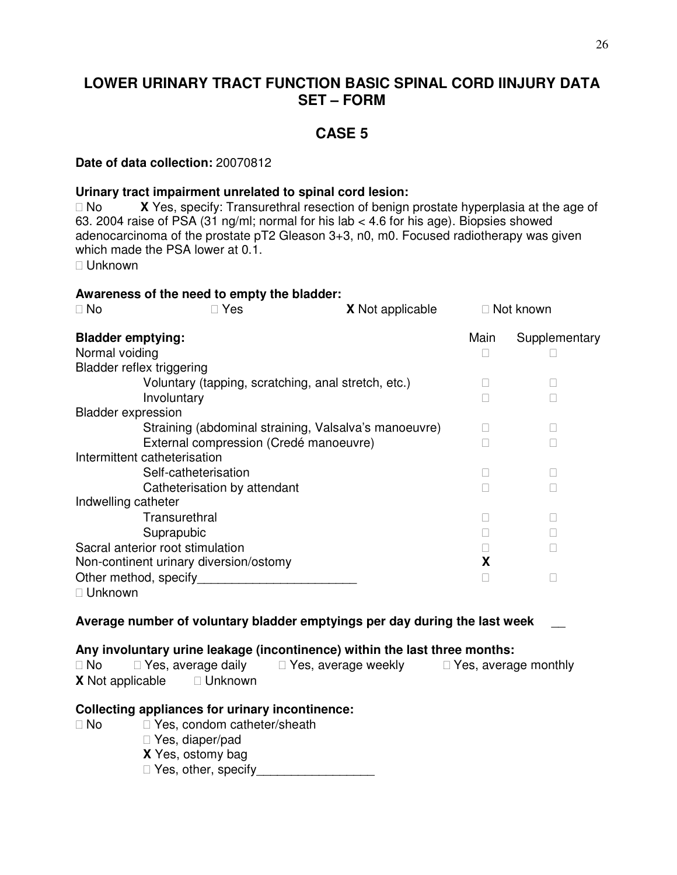# **LOWER URINARY TRACT FUNCTION BASIC SPINAL CORD IINJURY DATA SET – FORM**

## **CASE 5**

#### **Date of data collection:** 20070812

### **Urinary tract impairment unrelated to spinal cord lesion:**

 No **X** Yes, specify: Transurethral resection of benign prostate hyperplasia at the age of 63. 2004 raise of PSA (31 ng/ml; normal for his lab < 4.6 for his age). Biopsies showed adenocarcinoma of the prostate pT2 Gleason 3+3, n0, m0. Focused radiotherapy was given which made the PSA lower at 0.1.

Unknown

| Awareness of the need to empty the bladder:<br><b>No</b>            | Yes                                                                 | <b>X</b> Not applicable                                                    |      | Not known     |
|---------------------------------------------------------------------|---------------------------------------------------------------------|----------------------------------------------------------------------------|------|---------------|
| <b>Bladder emptying:</b>                                            |                                                                     |                                                                            | Main | Supplementary |
| Normal voiding                                                      |                                                                     |                                                                            |      |               |
| <b>Bladder reflex triggering</b>                                    |                                                                     |                                                                            |      |               |
|                                                                     |                                                                     | Voluntary (tapping, scratching, anal stretch, etc.)                        |      |               |
| Involuntary                                                         |                                                                     |                                                                            |      |               |
| <b>Bladder expression</b>                                           |                                                                     |                                                                            |      |               |
|                                                                     |                                                                     | Straining (abdominal straining, Valsalva's manoeuvre)                      |      |               |
|                                                                     |                                                                     | External compression (Credé manoeuvre)                                     |      |               |
| Intermittent catheterisation                                        |                                                                     |                                                                            |      |               |
|                                                                     | Self-catheterisation                                                |                                                                            |      |               |
|                                                                     | Catheterisation by attendant                                        |                                                                            |      |               |
| Indwelling catheter                                                 |                                                                     |                                                                            |      |               |
| Transurethral                                                       |                                                                     |                                                                            |      |               |
| Suprapubic                                                          |                                                                     |                                                                            |      |               |
| Sacral anterior root stimulation                                    |                                                                     |                                                                            |      |               |
| Non-continent urinary diversion/ostomy                              |                                                                     |                                                                            | X    |               |
| Other method, specify                                               |                                                                     | and the control of the control of the control of                           |      |               |
| Unknown                                                             |                                                                     |                                                                            |      |               |
|                                                                     |                                                                     | Average number of voluntary bladder emptyings per day during the last week |      |               |
|                                                                     |                                                                     | Any involuntary urine leakage (incontinence) within the last three months: |      |               |
| No                                                                  |                                                                     | Yes, average daily Yes, average weekly Yes, average monthly                |      |               |
| <b>X</b> Not applicable                                             | Unknown                                                             |                                                                            |      |               |
| <b>Collecting appliances for urinary incontinence:</b><br><b>No</b> | Yes, condom catheter/sheath<br>Yes, diaper/pad<br>X Yes, ostomy bag |                                                                            |      |               |

Yes, other, specify\_\_\_\_\_\_\_\_\_\_\_\_\_\_\_\_\_\_\_\_\_\_